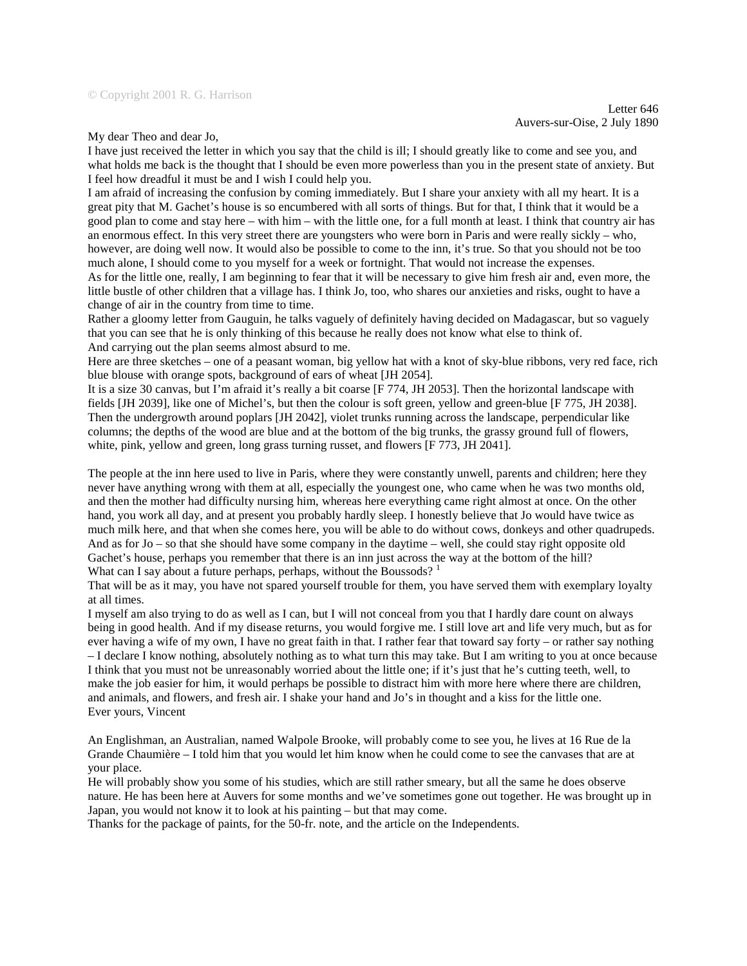My dear Theo and dear Jo,

I have just received the letter in which you say that the child is ill; I should greatly like to come and see you, and what holds me back is the thought that I should be even more powerless than you in the present state of anxiety. But I feel how dreadful it must be and I wish I could help you.

I am afraid of increasing the confusion by coming immediately. But I share your anxiety with all my heart. It is a great pity that M. Gachet's house is so encumbered with all sorts of things. But for that, I think that it would be a good plan to come and stay here – with him – with the little one, for a full month at least. I think that country air has an enormous effect. In this very street there are youngsters who were born in Paris and were really sickly – who, however, are doing well now. It would also be possible to come to the inn, it's true. So that you should not be too much alone, I should come to you myself for a week or fortnight. That would not increase the expenses.

As for the little one, really, I am beginning to fear that it will be necessary to give him fresh air and, even more, the little bustle of other children that a village has. I think Jo, too, who shares our anxieties and risks, ought to have a change of air in the country from time to time.

Rather a gloomy letter from Gauguin, he talks vaguely of definitely having decided on Madagascar, but so vaguely that you can see that he is only thinking of this because he really does not know what else to think of. And carrying out the plan seems almost absurd to me.

Here are three sketches – one of a peasant woman, big yellow hat with a knot of sky-blue ribbons, very red face, rich blue blouse with orange spots, background of ears of wheat [JH 2054].

It is a size 30 canvas, but I'm afraid it's really a bit coarse [F 774, JH 2053]. Then the horizontal landscape with fields [JH 2039], like one of Michel's, but then the colour is soft green, yellow and green-blue [F 775, JH 2038]. Then the undergrowth around poplars [JH 2042], violet trunks running across the landscape, perpendicular like columns; the depths of the wood are blue and at the bottom of the big trunks, the grassy ground full of flowers, white, pink, yellow and green, long grass turning russet, and flowers [F 773, JH 2041].

The people at the inn here used to live in Paris, where they were constantly unwell, parents and children; here they never have anything wrong with them at all, especially the youngest one, who came when he was two months old, and then the mother had difficulty nursing him, whereas here everything came right almost at once. On the other hand, you work all day, and at present you probably hardly sleep. I honestly believe that Jo would have twice as much milk here, and that when she comes here, you will be able to do without cows, donkeys and other quadrupeds. And as for Jo – so that she should have some company in the daytime – well, she could stay right opposite old Gachet's house, perhaps you remember that there is an inn just across the way at the bottom of the hill? What can I say about a future perhaps, perhaps, without the Boussods?  $1$ 

That will be as it may, you have not spared yourself trouble for them, you have served them with exemplary loyalty at all times.

I myself am also trying to do as well as I can, but I will not conceal from you that I hardly dare count on always being in good health. And if my disease returns, you would forgive me. I still love art and life very much, but as for ever having a wife of my own, I have no great faith in that. I rather fear that toward say forty – or rather say nothing – I declare I know nothing, absolutely nothing as to what turn this may take. But I am writing to you at once because I think that you must not be unreasonably worried about the little one; if it's just that he's cutting teeth, well, to make the job easier for him, it would perhaps be possible to distract him with more here where there are children, and animals, and flowers, and fresh air. I shake your hand and Jo's in thought and a kiss for the little one. Ever yours, Vincent

An Englishman, an Australian, named Walpole Brooke, will probably come to see you, he lives at 16 Rue de la Grande Chaumière – I told him that you would let him know when he could come to see the canvases that are at your place.

He will probably show you some of his studies, which are still rather smeary, but all the same he does observe nature. He has been here at Auvers for some months and we've sometimes gone out together. He was brought up in Japan, you would not know it to look at his painting – but that may come.

Thanks for the package of paints, for the 50-fr. note, and the article on the Independents.